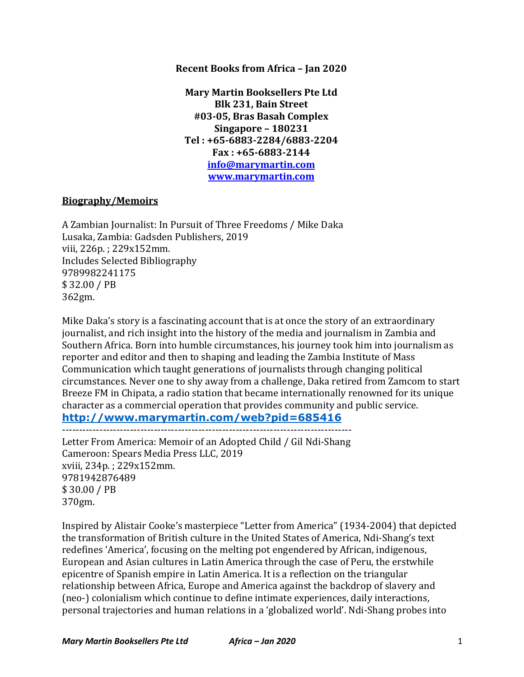#### **Recent Books from Africa - Jan 2020**

**Mary Martin Booksellers Pte Ltd Blk 231, Bain Street #03-05, Bras Basah Complex Singapore – 180231 Tel : +65-6883-2284/6883-2204 Fax : +65-6883-2144 info@marymartin.com www.marymartin.com**

#### **Biography/Memoirs**

A Zambian Journalist: In Pursuit of Three Freedoms / Mike Daka Lusaka, Zambia: Gadsden Publishers, 2019 viii, 226p.; 229x152mm. Includes Selected Bibliography 9789982241175 \$ 32.00 / PB 362gm.

Mike Daka's story is a fascinating account that is at once the story of an extraordinary journalist, and rich insight into the history of the media and journalism in Zambia and Southern Africa. Born into humble circumstances, his journey took him into journalism as reporter and editor and then to shaping and leading the Zambia Institute of Mass Communication which taught generations of journalists through changing political circumstances. Never one to shy away from a challenge, Daka retired from Zamcom to start Breeze FM in Chipata, a radio station that became internationally renowned for its unique character as a commercial operation that provides community and public service.

### **http://www.marymartin.com/web?pid=685416**

-------------------------------------------------------------------------------------

Letter From America: Memoir of an Adopted Child / Gil Ndi-Shang Cameroon: Spears Media Press LLC, 2019 xviii, 234p.; 229x152mm. 9781942876489 \$ 30.00 / PB 370gm.

Inspired by Alistair Cooke's masterpiece "Letter from America" (1934-2004) that depicted the transformation of British culture in the United States of America, Ndi-Shang's text redefines 'America', focusing on the melting pot engendered by African, indigenous, European and Asian cultures in Latin America through the case of Peru, the erstwhile epicentre of Spanish empire in Latin America. It is a reflection on the triangular relationship between Africa, Europe and America against the backdrop of slavery and (neo-) colonialism which continue to define intimate experiences, daily interactions, personal trajectories and human relations in a 'globalized world'. Ndi-Shang probes into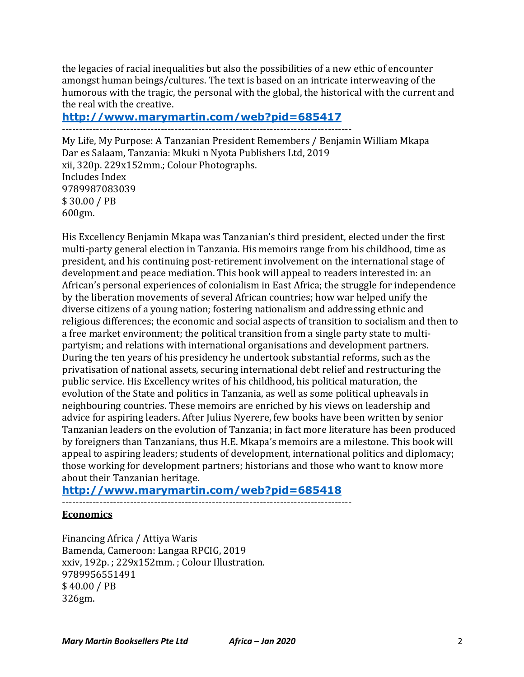the legacies of racial inequalities but also the possibilities of a new ethic of encounter amongst human beings/cultures. The text is based on an intricate interweaving of the humorous with the tragic, the personal with the global, the historical with the current and the real with the creative.

# **http://www.marymartin.com/web?pid=685417**

-------------------------------------------------------------------------------------

My Life, My Purpose: A Tanzanian President Remembers / Benjamin William Mkapa Dar es Salaam, Tanzania: Mkuki n Nyota Publishers Ltd, 2019 xii, 320p. 229x152mm.; Colour Photographs. Includes Index 9789987083039 \$ 30.00 / PB 600gm.

His Excellency Benjamin Mkapa was Tanzanian's third president, elected under the first multi-party general election in Tanzania. His memoirs range from his childhood, time as president, and his continuing post-retirement involvement on the international stage of development and peace mediation. This book will appeal to readers interested in: an African's personal experiences of colonialism in East Africa; the struggle for independence by the liberation movements of several African countries; how war helped unify the diverse citizens of a young nation; fostering nationalism and addressing ethnic and religious differences; the economic and social aspects of transition to socialism and then to a free market environment; the political transition from a single party state to multipartyism; and relations with international organisations and development partners. During the ten years of his presidency he undertook substantial reforms, such as the privatisation of national assets, securing international debt relief and restructuring the public service. His Excellency writes of his childhood, his political maturation, the evolution of the State and politics in Tanzania, as well as some political upheavals in neighbouring countries. These memoirs are enriched by his views on leadership and advice for aspiring leaders. After Julius Nyerere, few books have been written by senior Tanzanian leaders on the evolution of Tanzania; in fact more literature has been produced by foreigners than Tanzanians, thus H.E. Mkapa's memoirs are a milestone. This book will appeal to aspiring leaders; students of development, international politics and diplomacy; those working for development partners; historians and those who want to know more about their Tanzanian heritage.

## **http://www.marymartin.com/web?pid=685418**

-------------------------------------------------------------------------------------

### **Economics**

Financing Africa / Attiya Waris Bamenda, Cameroon: Langaa RPCIG, 2019 xxiv, 192p.; 229x152mm.; Colour Illustration. 9789956551491 \$ 40.00 / PB 326gm.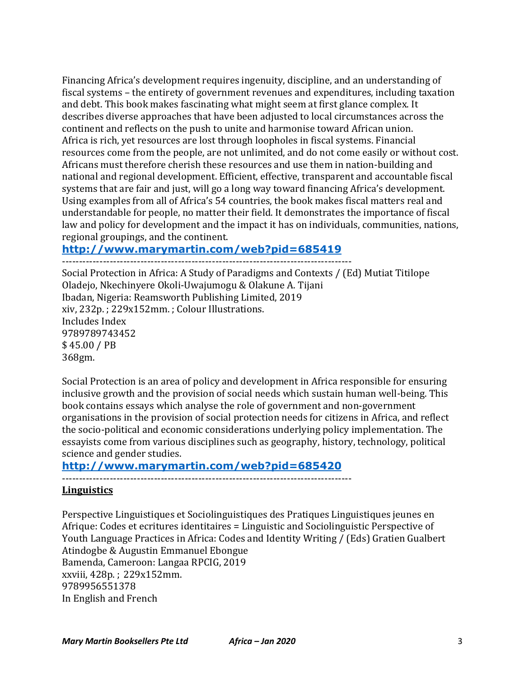Financing Africa's development requires ingenuity, discipline, and an understanding of fiscal systems – the entirety of government revenues and expenditures, including taxation and debt. This book makes fascinating what might seem at first glance complex. It describes diverse approaches that have been adjusted to local circumstances across the continent and reflects on the push to unite and harmonise toward African union. Africa is rich, yet resources are lost through loopholes in fiscal systems. Financial resources come from the people, are not unlimited, and do not come easily or without cost. Africans must therefore cherish these resources and use them in nation-building and national and regional development. Efficient, effective, transparent and accountable fiscal systems that are fair and just, will go a long way toward financing Africa's development. Using examples from all of Africa's 54 countries, the book makes fiscal matters real and understandable for people, no matter their field. It demonstrates the importance of fiscal law and policy for development and the impact it has on individuals, communities, nations, regional groupings, and the continent.

### **http://www.marymartin.com/web?pid=685419**

-------------------------------------------------------------------------------------

Social Protection in Africa: A Study of Paradigms and Contexts / (Ed) Mutiat Titilope Oladejo, Nkechinyere Okoli-Uwajumogu & Olakune A. Tijani Ibadan, Nigeria: Reamsworth Publishing Limited, 2019 xiv, 232p. ; 229x152mm. ; Colour Illustrations. Includes Index 9789789743452 \$ 45.00 / PB 368gm.

Social Protection is an area of policy and development in Africa responsible for ensuring inclusive growth and the provision of social needs which sustain human well-being. This book contains essays which analyse the role of government and non-government organisations in the provision of social protection needs for citizens in Africa, and reflect the socio-political and economic considerations underlying policy implementation. The essayists come from various disciplines such as geography, history, technology, political science and gender studies.

### **http://www.marymartin.com/web?pid=685420**

-------------------------------------------------------------------------------------

### **Linguistics**

Perspective Linguistiques et Sociolinguistiques des Pratiques Linguistiques jeunes en Afrique: Codes et ecritures identitaires = Linguistic and Sociolinguistic Perspective of Youth Language Practices in Africa: Codes and Identity Writing / (Eds) Gratien Gualbert Atindogbe & Augustin Emmanuel Ebongue Bamenda, Cameroon: Langaa RPCIG, 2019 xxviii, 428p. ; 229x152mm. 9789956551378 In English and French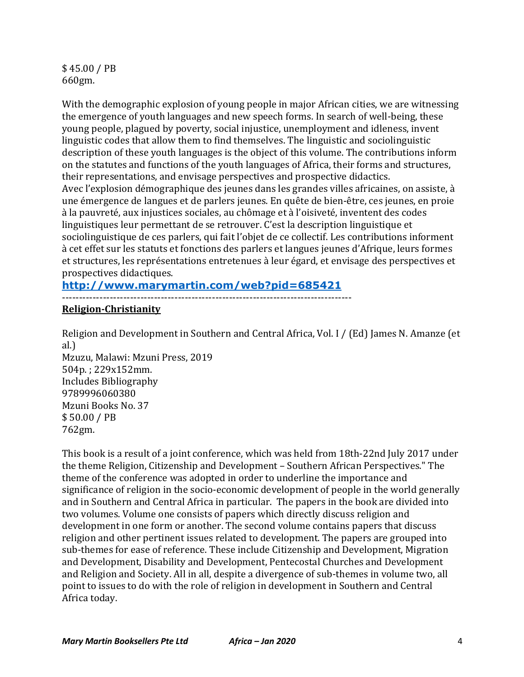\$ 45.00 / PB 660gm.

With the demographic explosion of young people in major African cities, we are witnessing the emergence of youth languages and new speech forms. In search of well-being, these young people, plagued by poverty, social injustice, unemployment and idleness, invent linguistic codes that allow them to find themselves. The linguistic and sociolinguistic description of these youth languages is the object of this volume. The contributions inform on the statutes and functions of the youth languages of Africa, their forms and structures, their representations, and envisage perspectives and prospective didactics. Avec l'explosion démographique des jeunes dans les grandes villes africaines, on assiste, à une émergence de langues et de parlers jeunes. En quête de bien-être, ces jeunes, en proie à la pauvreté, aux injustices sociales, au chômage et à l'oisiveté, inventent des codes linguistiques leur permettant de se retrouver. C'est la description linguistique et sociolinguistique de ces parlers, qui fait l'objet de ce collectif. Les contributions informent à cet effet sur les statuts et fonctions des parlers et langues jeunes d'Afrique, leurs formes et structures, les représentations entretenues à leur égard, et envisage des perspectives et prospectives didactiques.

#### **http://www.marymartin.com/web?pid=685421**

-------------------------------------------------------------------------------------

#### **Religion-Christianity**

Religion and Development in Southern and Central Africa, Vol. I / (Ed) James N. Amanze (et al.) Mzuzu, Malawi: Mzuni Press, 2019 504p.: 229x152mm. Includes Bibliography 9789996060380 Mzuni Books No. 37 \$ 50.00 / PB 762gm.

This book is a result of a joint conference, which was held from 18th-22nd July 2017 under the theme Religion, Citizenship and Development - Southern African Perspectives." The theme of the conference was adopted in order to underline the importance and significance of religion in the socio-economic development of people in the world generally and in Southern and Central Africa in particular. The papers in the book are divided into two volumes. Volume one consists of papers which directly discuss religion and development in one form or another. The second volume contains papers that discuss religion and other pertinent issues related to development. The papers are grouped into sub-themes for ease of reference. These include Citizenship and Development, Migration and Development, Disability and Development, Pentecostal Churches and Development and Religion and Society. All in all, despite a divergence of sub-themes in volume two, all point to issues to do with the role of religion in development in Southern and Central Africa today.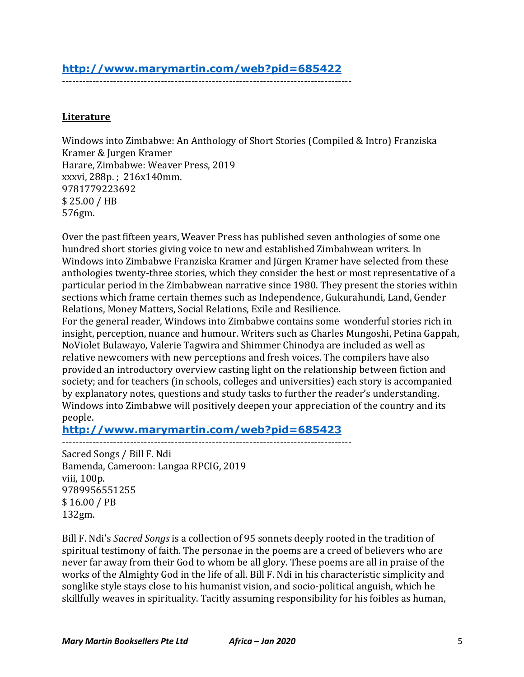# **http://www.marymartin.com/web?pid=685422**

-------------------------------------------------------------------------------------

### **Literature**

Windows into Zimbabwe: An Anthology of Short Stories (Compiled & Intro) Franziska Kramer & Jurgen Kramer Harare, Zimbabwe: Weaver Press, 2019 xxxvi, 288p.; 216x140mm. 9781779223692  $$25.00 / HB$ 576gm.

Over the past fifteen years, Weaver Press has published seven anthologies of some one hundred short stories giving voice to new and established Zimbabwean writers. In Windows into Zimbabwe Franziska Kramer and Jürgen Kramer have selected from these anthologies twenty-three stories, which they consider the best or most representative of a particular period in the Zimbabwean narrative since 1980. They present the stories within sections which frame certain themes such as Independence, Gukurahundi, Land, Gender Relations, Money Matters, Social Relations, Exile and Resilience.

For the general reader, Windows into Zimbabwe contains some wonderful stories rich in insight, perception, nuance and humour. Writers such as Charles Mungoshi, Petina Gappah, NoViolet Bulawayo, Valerie Tagwira and Shimmer Chinodya are included as well as relative newcomers with new perceptions and fresh voices. The compilers have also provided an introductory overview casting light on the relationship between fiction and society; and for teachers (in schools, colleges and universities) each story is accompanied by explanatory notes, questions and study tasks to further the reader's understanding. Windows into Zimbabwe will positively deepen your appreciation of the country and its people.

**http://www.marymartin.com/web?pid=685423**

-------------------------------------------------------------------------------------

Sacred Songs / Bill F. Ndi Bamenda, Cameroon: Langaa RPCIG, 2019 viii. 100p. 9789956551255 \$ 16.00 / PB 132gm.

Bill F. Ndi's *Sacred Songs* is a collection of 95 sonnets deeply rooted in the tradition of spiritual testimony of faith. The personae in the poems are a creed of believers who are never far away from their God to whom be all glory. These poems are all in praise of the works of the Almighty God in the life of all. Bill F. Ndi in his characteristic simplicity and songlike style stays close to his humanist vision, and socio-political anguish, which he skillfully weaves in spirituality. Tacitly assuming responsibility for his foibles as human,